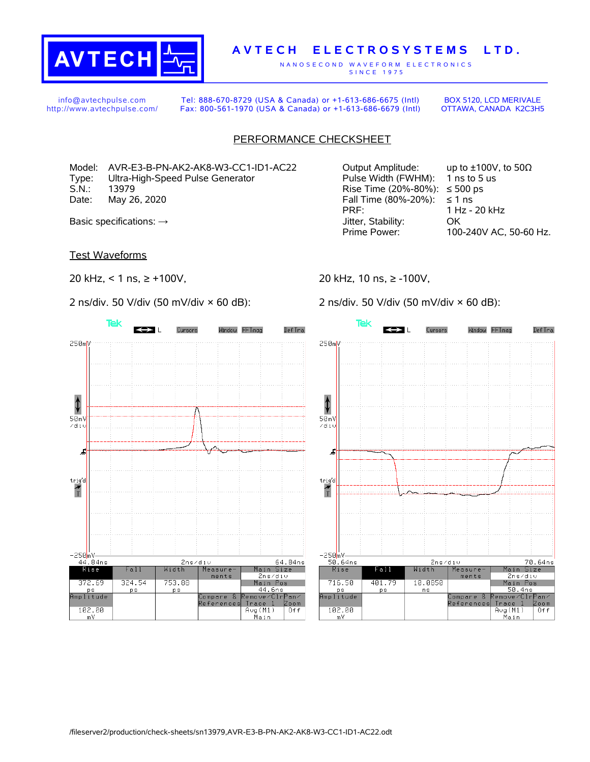

## **A V T E C H E L E C T R O S Y S T E M S L T D .**

N A N O S E C O N D W A V E F O R M E L E C T R O N I C S S IN C E 1975

info@avtechpulse.com http://www.avtechpulse.com/

Tel: 888-670-8729 (USA & Canada) or +1-613-686-6675 (Intl) Fax: 800-561-1970 (USA & Canada) or +1-613-686-6679 (Intl)

BOX 5120, LCD MERIVALE OTTAWA, CANADA K2C3H5

## PERFORMANCE CHECKSHEET

Model: AVR-E3-B-PN-AK2-AK8-W3-CC1-ID1-AC22 Output Amplitude: up to ±100V, to 50Ω Type: Ultra-High-Speed Pulse Generator Pulse Width (FWHM): 1 ns to 5 us S.N.: 13979 13979 Rise Time (20%-80%): ≤500 ps Date: May 26, 2020  $\blacksquare$ Date: May 26, 2020

Test Waveforms

20 kHz, < 1 ns, ≥ +100V,

2 ns/div. 50 V/div (50 mV/div × 60 dB):



PRF: 1 Hz - 20 kHz Basic specifications: → GK CONSERVIATE: OCONSERVIATE: OCONSERVIATE: OCONSERVIATE: OCONSERVIATE: OCONSERVIATE: OCONSERVIATE: OCONSERVIATE: OCONSERVIATE: OCONSERVIATE: OCONSERVIATE: OCONSERVIATE: OCONSERVIATE: OCONSERVIATE: Prime Power: 100-240V AC, 50-60 Hz.

20 kHz, 10 ns, ≥ -100V,

2 ns/div. 50 V/div (50 mV/div × 60 dB):

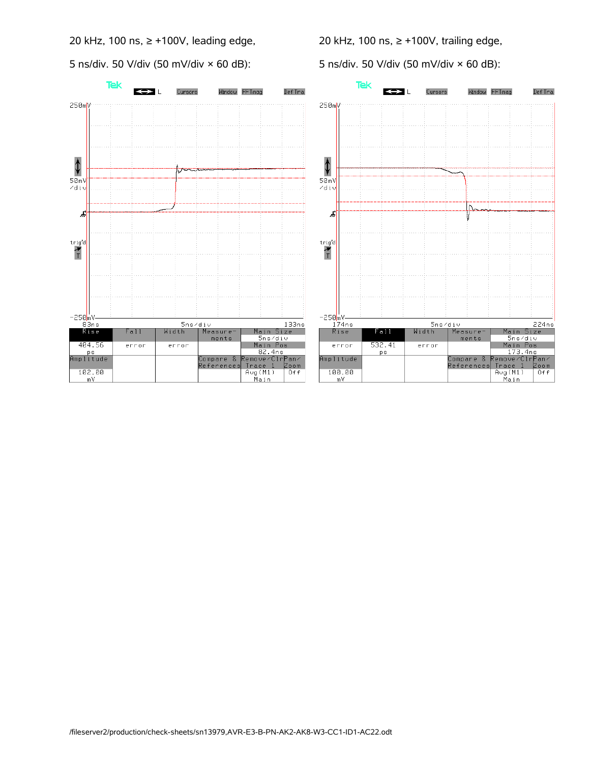20 kHz, 100 ns, ≥ +100V, leading edge,

5 ns/div. 50 V/div (50 mV/div × 60 dB):

20 kHz, 100 ns, ≥ +100V, trailing edge,

5 ns/div. 50 V/div (50 mV/div × 60 dB):